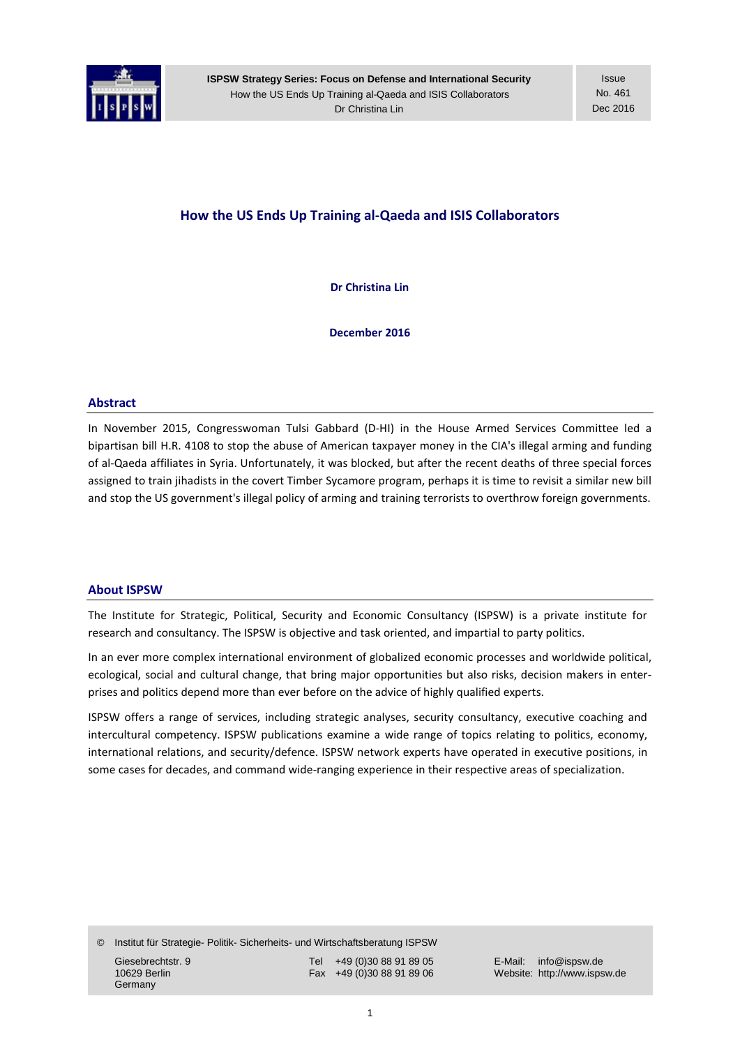

**ISPSW Strategy Series: Focus on Defense and International Security** How the US Ends Up Training al-Qaeda and ISIS Collaborators Dr Christina Lin

**Issue** No. 461 Dec 2016

# **How the US Ends Up Training al-Qaeda and ISIS Collaborators**

**Dr Christina Lin**

**December 2016**

### **Abstract**

In November 2015, Congresswoman Tulsi Gabbard (D-HI) in the House Armed Services Committee led a bipartisan bill H.R. 4108 to stop the abuse of American taxpayer money in the CIA's illegal arming and funding of al-Qaeda affiliates in Syria. Unfortunately, it was blocked, but after the recent deaths of three special forces assigned to train jihadists in the covert Timber Sycamore program, perhaps it is time to revisit a similar new bill and stop the US government's illegal policy of arming and training terrorists to overthrow foreign governments.

#### **About ISPSW**

The Institute for Strategic, Political, Security and Economic Consultancy (ISPSW) is a private institute for research and consultancy. The ISPSW is objective and task oriented, and impartial to party politics.

In an ever more complex international environment of globalized economic processes and worldwide political, ecological, social and cultural change, that bring major opportunities but also risks, decision makers in enterprises and politics depend more than ever before on the advice of highly qualified experts.

ISPSW offers a range of services, including strategic analyses, security consultancy, executive coaching and intercultural competency. ISPSW publications examine a wide range of topics relating to politics, economy, international relations, and security/defence. ISPSW network experts have operated in executive positions, in some cases for decades, and command wide-ranging experience in their respective areas of specialization.

© Institut für Strategie- Politik- Sicherheits- und Wirtschaftsberatung ISPSW Giesebrechtstr. 9 Tel +49 (0)30 88 91 89 05 E-Mail: info@ispsw.de<br>10629 Berlin 10629 E-Mail: info@ispsw.de Fax +49 (0)30 88 91 89 06 Website: http://www.isps **Germany** 

Website: http://www.ispsw.de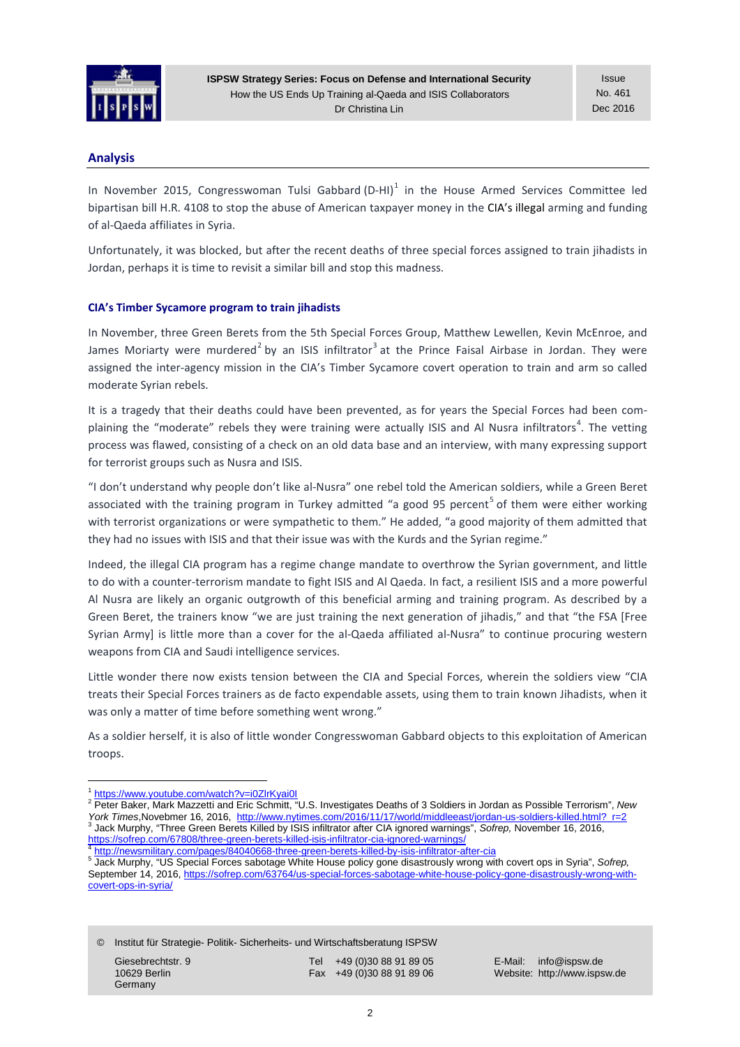

**ISPSW Strategy Series: Focus on Defense and International Security** How the US Ends Up Training al-Qaeda and ISIS Collaborators Dr Christina Lin

**Issue** No. 461 Dec 2016

# **Analysis**

In November 20[1](#page-1-0)5, Congresswoman Tulsi Gabbard (D-HI)<sup>1</sup> in the House Armed Services Committee led bipartisan bill H.R. 4108 to stop the abuse of American taxpayer money in the CIA's [illegal](http://gabbard.house.gov/index.php/press-releases/520-reps-tulsi-gabbard-austin-scott-introduce-legislation-to-end-illegal-u-swar-to-overthrow-syrian-government-of-assad) arming and funding of al-Qaeda affiliates in Syria.

Unfortunately, it was blocked, but after the recent deaths of three special forces assigned to train jihadists in Jordan, perhaps it is time to revisit a similar bill and stop this madness.

## **CIA's Timber Sycamore program to train jihadists**

In November, three Green Berets from the 5th Special Forces Group, Matthew Lewellen, Kevin McEnroe, and James Moriarty were murdered<sup>[2](#page-1-1)</sup> by an ISIS infiltrator<sup>[3](#page-1-2)</sup> at the Prince Faisal Airbase in Jordan. They were assigned the inter-agency mission in the CIA's Timber Sycamore covert operation to train and arm so called moderate Syrian rebels.

It is a tragedy that their deaths could have been prevented, as for years the Special Forces had been com-plaining the "moderate" rebels they were training were actually ISIS and Al Nusra infiltrators<sup>[4](#page-1-3)</sup>. The vetting process was flawed, consisting of a check on an old data base and an interview, with many expressing support for terrorist groups such as Nusra and ISIS.

"I don't understand why people don't like al-Nusra" one rebel told the American soldiers, while a Green Beret associated with the training program in Turkey admitted "a good 9[5](#page-1-4) percent<sup>5</sup> of them were either working with terrorist organizations or were sympathetic to them." He added, "a good majority of them admitted that they had no issues with ISIS and that their issue was with the Kurds and the Syrian regime."

Indeed, the illegal CIA program has a regime change mandate to overthrow the Syrian government, and little to do with a counter-terrorism mandate to fight ISIS and Al Qaeda. In fact, a resilient ISIS and a more powerful Al Nusra are likely an organic outgrowth of this beneficial arming and training program. As described by a Green Beret, the trainers know "we are just training the next generation of jihadis," and that "the FSA [Free Syrian Army] is little more than a cover for the al-Qaeda affiliated al-Nusra" to continue procuring western weapons from CIA and Saudi intelligence services.

Little wonder there now exists tension between the CIA and Special Forces, wherein the soldiers view "CIA treats their Special Forces trainers as de facto expendable assets, using them to train known Jihadists, when it was only a matter of time before something went wrong."

As a soldier herself, it is also of little wonder Congresswoman Gabbard objects to this exploitation of American troops.

© Institut für Strategie- Politik- Sicherheits- und Wirtschaftsberatung ISPSW

**Germany** 

Giesebrechtstr. 9 Tel +49 (0)30 88 91 89 05 E-Mail: info@ispsw.de<br>10629 Berlin 10629 E-Mail: info@ispsw.de Fax +49 (0)30 88 91 89 06 Website: http://www.isps

Website: http://www.ispsw.de

<sup>1</sup> <https://www.youtube.com/watch?v=i0ZlrKyai0I>

<span id="page-1-1"></span><span id="page-1-0"></span><sup>&</sup>lt;sup>2</sup> Peter Baker, Mark Mazzetti and Eric Schmitt, "U.S. Investigates Deaths of 3 Soldiers in Jordan as Possible Terrorism", *New York Times*, Novebmer 16, 2016, http://www.nytimes.com/2016/11/17/world/middleeast/jordan-us 3 Jack Murphy, "Three Green Berets Killed by ISIS infiltrator after CIA ignored warnings", Sofrep, November 16, 2016,<br>https://sofrep.com/67808/three-green-berets-killed-isis-infiltrator-cia-ignored-warnings/

<span id="page-1-4"></span><span id="page-1-3"></span>

<span id="page-1-2"></span><sup>4</sup> <http://newsmilitary.com/pages/84040668-three-green-berets-killed-by-isis-infiltrator-after-cia><br>5 Jack Murphy, "US Special Forces sabotage White House policy gone disastrously wrong with covert ops in Syria", Sofrep, September 14, 2016, [https://sofrep.com/63764/us-special-forces-sabotage-white-house-policy-gone-disastrously-wrong-with](https://sofrep.com/63764/us-special-forces-sabotage-white-house-policy-gone-disastrously-wrong-with-covert-ops-in-syria/)[covert-ops-in-syria/](https://sofrep.com/63764/us-special-forces-sabotage-white-house-policy-gone-disastrously-wrong-with-covert-ops-in-syria/)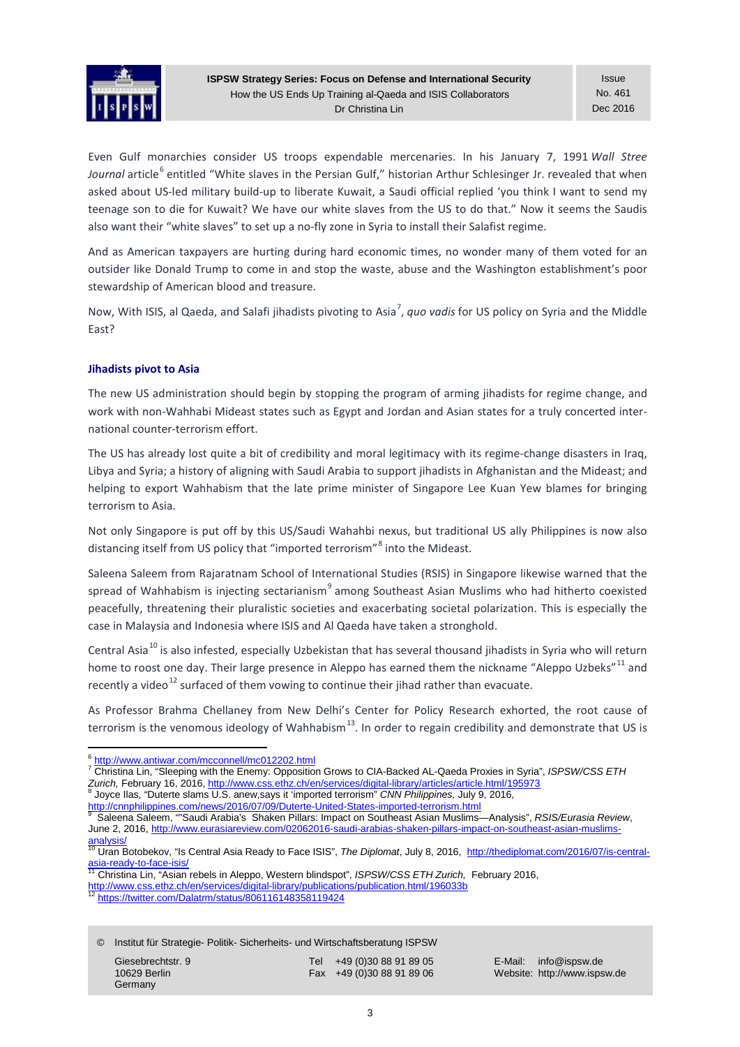

Even Gulf monarchies consider US troops expendable mercenaries. In his January 7, 1991 *Wall Stree Journal* article<sup>[6](#page-2-0)</sup> entitled "White slaves in the Persian Gulf," historian Arthur Schlesinger Jr. revealed that when asked about US-led military build-up to liberate Kuwait, a Saudi official replied 'you think I want to send my teenage son to die for Kuwait? We have our white slaves from the US to do that." Now it seems the Saudis also want their "white slaves" to set up a no-fly zone in Syria to install their Salafist regime.

And as American taxpayers are hurting during hard economic times, no wonder many of them voted for an outsider like Donald Trump to come in and stop the waste, abuse and the Washington establishment's poor stewardship of American blood and treasure.

Now, With ISIS, al Qaeda, and Salafi jihadists pivoting to Asia<sup>[7](#page-2-1)</sup>, quo vadis for US policy on Syria and the Middle East?

## **Jihadists pivot to Asia**

The new US administration should begin by stopping the program of arming jihadists for regime change, and work with non-Wahhabi Mideast states such as Egypt and Jordan and Asian states for a truly concerted international counter-terrorism effort.

The US has already lost quite a bit of credibility and moral legitimacy with its regime-change disasters in Iraq, Libya and Syria; a history of aligning with Saudi Arabia to support jihadists in Afghanistan and the Mideast; and helping to export Wahhabism that the late prime minister of Singapore Lee Kuan Yew blames for bringing terrorism to Asia.

Not only Singapore is put off by this US/Saudi Wahahbi nexus, but traditional US ally Philippines is now also distancing itself from US policy that "imported terrorism"<sup>[8](#page-2-2)</sup> into the Mideast.

Saleena Saleem from Rajaratnam School of International Studies (RSIS) in Singapore likewise warned that the spread of Wahhabism is injecting sectarianism $9$  among Southeast Asian Muslims who had hitherto coexisted peacefully, threatening their pluralistic societies and exacerbating societal polarization. This is especially the case in Malaysia and Indonesia where ISIS and Al Qaeda have taken a stronghold.

Central Asia<sup>[10](#page-2-4)</sup> is also infested, especially Uzbekistan that has several thousand jihadists in Syria who will return home to roost one day. Their large presence in Aleppo has earned them the nickname "Aleppo Uzbeks"<sup>[11](#page-2-5)</sup> and recently a video $^{12}$  $^{12}$  $^{12}$  surfaced of them vowing to continue their jihad rather than evacuate.

As Professor Brahma Chellaney from New Delhi's Center for Policy Research exhorted, the root cause of terrorism is the venomous ideology of Wahhabism<sup>13</sup>. In order to regain credibility and demonstrate that US is

© Institut für Strategie- Politik- Sicherheits- und Wirtschaftsberatung ISPSW

| Giesebrechtstr. 9 |
|-------------------|
| 10629 Berlin      |
| Germany           |

Tel +49 (0)30 88 91 89 05 E-Mail: info@ispsw.de<br>Fax +49 (0)30 88 91 89 06 Website: http://www.isps

<span id="page-2-1"></span><span id="page-2-0"></span><sup>6</sup> <http://www.antiwar.com/mcconnell/mc012202.html> <sup>7</sup> Christina Lin, "Sleeping with the Enemy: Opposition Grows to CIA-Backed AL-Qaeda Proxies in Syria", *ISPSW/CSS ETH Zurich, February 16, 2016[, http://www.css.ethz.ch/en/services/digital-library/articles/article.html/195973](http://www.css.ethz.ch/en/services/digital-library/articles/article.html/195973)*<br><sup>8</sup> Joyce Ilas, "Duterte slams U.S. anew,says it 'imported terrorism" *CNN Philippines, July 9, 2016,*<br>http://cnn

<span id="page-2-2"></span>

<span id="page-2-3"></span>

Saleena Saleem, ""Saudi Arabia's Shaken Pillars: Impact on Southeast Asian Muslims—Analysis", *RSIS/Eurasia Review*, June 2, 2016[, http://www.eurasiareview.com/02062016-saudi-arabias-shaken-pillars-impact-on-southeast-asian-muslims-](http://www.eurasiareview.com/02062016-saudi-arabias-shaken-pillars-impact-on-southeast-asian-muslims-analysis/)

<span id="page-2-4"></span>[analysis/](http://www.eurasiareview.com/02062016-saudi-arabias-shaken-pillars-impact-on-southeast-asian-muslims-analysis/)<br><sup>10</sup> Uran Botobekov, "Is Central Asia Ready to Face ISIS", *The Diplomat*, July 8, 2016, http://thediplomat.com/2016/07/is-central-<br>asia-ready-to-face-isis/

<span id="page-2-7"></span>[asia-ready-to-face-isis/](http://thediplomat.com/2016/07/is-central-asia-ready-to-face-isis/) <sup>11</sup> Christina Lin, "Asian rebels in Aleppo, Western blindspot", *ISPSW/CSS ETH Zurich,* February 2016,

<span id="page-2-6"></span><span id="page-2-5"></span><http://www.css.ethz.ch/en/services/digital-library/publications/publication.html/196033b> <sup>12</sup> <https://twitter.com/Dalatrm/status/806116148358119424>